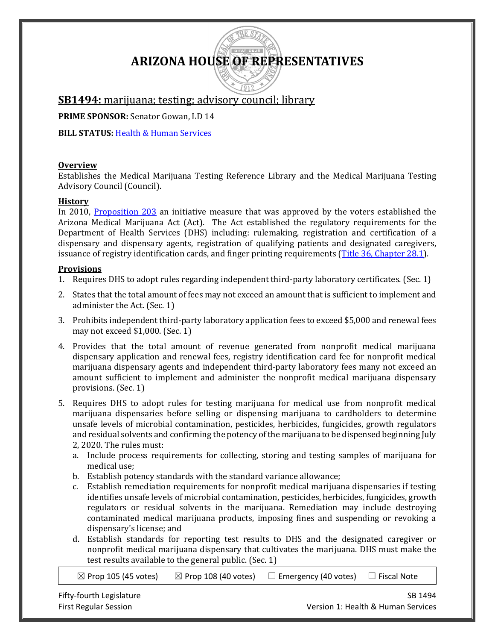# **ARIZONA HOUSE OF REPRESENTATIVES**

# **SB1494:** marijuana; testing; advisory council; library

**PRIME SPONSOR:** Senator Gowan, LD 14

**BILL STATUS: [Health & Human](https://apps.azleg.gov/BillStatus/BillOverview/72146) Services** 

### **Overview**

Establishes the Medical Marijuana Testing Reference Library and the Medical Marijuana Testing Advisory Council (Council).

## **History**

In 2010, [Proposition 203](https://apps.azsos.gov/election/2010/info/PubPamphlet/Sun_Sounds/english/prop203.htm) an initiative measure that was approved by the voters established the Arizona Medical Marijuana Act (Act). The Act established the regulatory requirements for the Department of Health Services (DHS) including: rulemaking, registration and certification of a dispensary and dispensary agents, registration of qualifying patients and designated caregivers, issuance of registry identification cards, and finger printing requirements [\(Title 36, Chapter 28.1\)](https://www.azleg.gov/arsDetail/?title=36).

# **Provisions**

- 1. Requires DHS to adopt rules regarding independent third-party laboratory certificates. (Sec. 1)
- 2. States that the total amount of fees may not exceed an amount that is sufficient to implement and administer the Act. (Sec. 1)
- 3. Prohibits independent third-party laboratory application fees to exceed \$5,000 and renewal fees may not exceed \$1,000. (Sec. 1)
- 4. Provides that the total amount of revenue generated from nonprofit medical marijuana dispensary application and renewal fees, registry identification card fee for nonprofit medical marijuana dispensary agents and independent third-party laboratory fees many not exceed an amount sufficient to implement and administer the nonprofit medical marijuana dispensary provisions. (Sec. 1)
- 5. Requires DHS to adopt rules for testing marijuana for medical use from nonprofit medical marijuana dispensaries before selling or dispensing marijuana to cardholders to determine unsafe levels of microbial contamination, pesticides, herbicides, fungicides, growth regulators and residual solvents and confirming the potency of the marijuana to be dispensed beginning July 2, 2020. The rules must:
	- a. Include process requirements for collecting, storing and testing samples of marijuana for medical use;
	- b. Establish potency standards with the standard variance allowance;
	- c. Establish remediation requirements for nonprofit medical marijuana dispensaries if testing identifies unsafe levels of microbial contamination, pesticides, herbicides, fungicides, growth regulators or residual solvents in the marijuana. Remediation may include destroying contaminated medical marijuana products, imposing fines and suspending or revoking a dispensary's license; and
	- d. Establish standards for reporting test results to DHS and the designated caregiver or nonprofit medical marijuana dispensary that cultivates the marijuana. DHS must make the test results available to the general public. (Sec. 1)

 $\boxtimes$  Prop 105 (45 votes)  $\boxtimes$  Prop 108 (40 votes)  $\Box$  Emergency (40 votes)  $\Box$  Fiscal Note

Fifty-fourth Legislature SB 1494 First Regular Session Version 1: Health & Human Services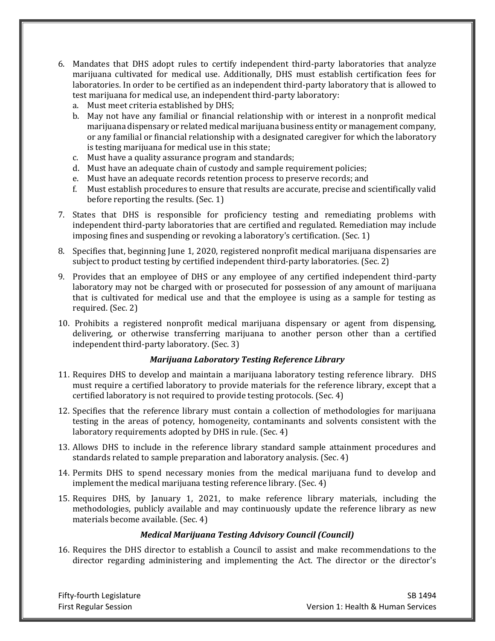- 6. Mandates that DHS adopt rules to certify independent third-party laboratories that analyze marijuana cultivated for medical use. Additionally, DHS must establish certification fees for laboratories. In order to be certified as an independent third-party laboratory that is allowed to test marijuana for medical use, an independent third-party laboratory:
	- a. Must meet criteria established by DHS;
	- b. May not have any familial or financial relationship with or interest in a nonprofit medical marijuana dispensary or related medical marijuana business entity or management company, or any familial or financial relationship with a designated caregiver for which the laboratory is testing marijuana for medical use in this state;
	- c. Must have a quality assurance program and standards;
	- d. Must have an adequate chain of custody and sample requirement policies;
	- e. Must have an adequate records retention process to preserve records; and
	- f. Must establish procedures to ensure that results are accurate, precise and scientifically valid before reporting the results. (Sec. 1)
- 7. States that DHS is responsible for proficiency testing and remediating problems with independent third-party laboratories that are certified and regulated. Remediation may include imposing fines and suspending or revoking a laboratory's certification. (Sec. 1)
- 8. Specifies that, beginning June 1, 2020, registered nonprofit medical marijuana dispensaries are subject to product testing by certified independent third-party laboratories. (Sec. 2)
- 9. Provides that an employee of DHS or any employee of any certified independent third-party laboratory may not be charged with or prosecuted for possession of any amount of marijuana that is cultivated for medical use and that the employee is using as a sample for testing as required. (Sec. 2)
- 10. Prohibits a registered nonprofit medical marijuana dispensary or agent from dispensing, delivering, or otherwise transferring marijuana to another person other than a certified independent third-party laboratory. (Sec. 3)

### *Marijuana Laboratory Testing Reference Library*

- 11. Requires DHS to develop and maintain a marijuana laboratory testing reference library. DHS must require a certified laboratory to provide materials for the reference library, except that a certified laboratory is not required to provide testing protocols. (Sec. 4)
- 12. Specifies that the reference library must contain a collection of methodologies for marijuana testing in the areas of potency, homogeneity, contaminants and solvents consistent with the laboratory requirements adopted by DHS in rule. (Sec. 4)
- 13. Allows DHS to include in the reference library standard sample attainment procedures and standards related to sample preparation and laboratory analysis. (Sec. 4)
- 14. Permits DHS to spend necessary monies from the medical marijuana fund to develop and implement the medical marijuana testing reference library. (Sec. 4)
- 15. Requires DHS, by January 1, 2021, to make reference library materials, including the methodologies, publicly available and may continuously update the reference library as new materials become available. (Sec. 4)

### *Medical Marijuana Testing Advisory Council (Council)*

16. Requires the DHS director to establish a Council to assist and make recommendations to the director regarding administering and implementing the Act. The director or the director's